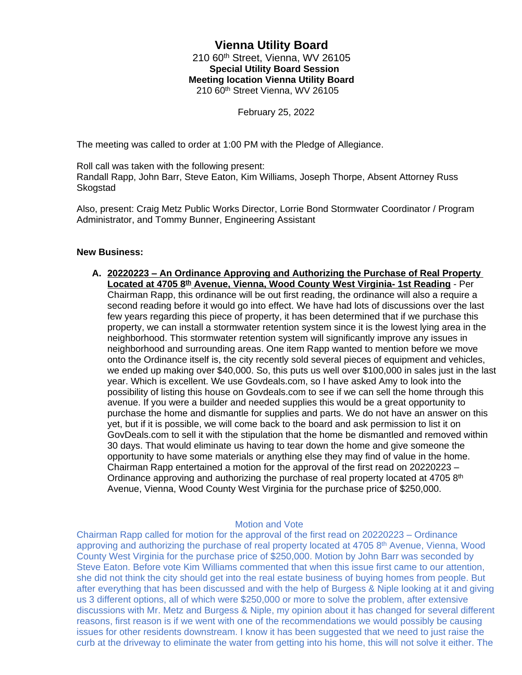## **Vienna Utility Board** 210 60th Street, Vienna, WV 26105  **Special Utility Board Session Meeting location Vienna Utility Board** 210 60th Street Vienna, WV 26105

February 25, 2022

The meeting was called to order at 1:00 PM with the Pledge of Allegiance.

Roll call was taken with the following present:

Randall Rapp, John Barr, Steve Eaton, Kim Williams, Joseph Thorpe, Absent Attorney Russ Skogstad

Also, present: Craig Metz Public Works Director, Lorrie Bond Stormwater Coordinator / Program Administrator, and Tommy Bunner, Engineering Assistant

## **New Business:**

**A. 20220223 – An Ordinance Approving and Authorizing the Purchase of Real Property Located at 4705 8th Avenue, Vienna, Wood County West Virginia- 1st Reading** - Per Chairman Rapp, this ordinance will be out first reading, the ordinance will also a require a second reading before it would go into effect. We have had lots of discussions over the last few years regarding this piece of property, it has been determined that if we purchase this property, we can install a stormwater retention system since it is the lowest lying area in the neighborhood. This stormwater retention system will significantly improve any issues in neighborhood and surrounding areas. One item Rapp wanted to mention before we move onto the Ordinance itself is, the city recently sold several pieces of equipment and vehicles, we ended up making over \$40,000. So, this puts us well over \$100,000 in sales just in the last year. Which is excellent. We use Govdeals.com, so I have asked Amy to look into the possibility of listing this house on Govdeals.com to see if we can sell the home through this avenue. If you were a builder and needed supplies this would be a great opportunity to purchase the home and dismantle for supplies and parts. We do not have an answer on this yet, but if it is possible, we will come back to the board and ask permission to list it on GovDeals.com to sell it with the stipulation that the home be dismantled and removed within 30 days. That would eliminate us having to tear down the home and give someone the opportunity to have some materials or anything else they may find of value in the home. Chairman Rapp entertained a motion for the approval of the first read on 20220223 – Ordinance approving and authorizing the purchase of real property located at  $4705$   $8<sup>th</sup>$ Avenue, Vienna, Wood County West Virginia for the purchase price of \$250,000.

## Motion and Vote

Chairman Rapp called for motion for the approval of the first read on 20220223 – Ordinance approving and authorizing the purchase of real property located at 4705 8<sup>th</sup> Avenue, Vienna, Wood County West Virginia for the purchase price of \$250,000. Motion by John Barr was seconded by Steve Eaton. Before vote Kim Williams commented that when this issue first came to our attention, she did not think the city should get into the real estate business of buying homes from people. But after everything that has been discussed and with the help of Burgess & Niple looking at it and giving us 3 different options, all of which were \$250,000 or more to solve the problem, after extensive discussions with Mr. Metz and Burgess & Niple, my opinion about it has changed for several different reasons, first reason is if we went with one of the recommendations we would possibly be causing issues for other residents downstream. I know it has been suggested that we need to just raise the curb at the driveway to eliminate the water from getting into his home, this will not solve it either. The